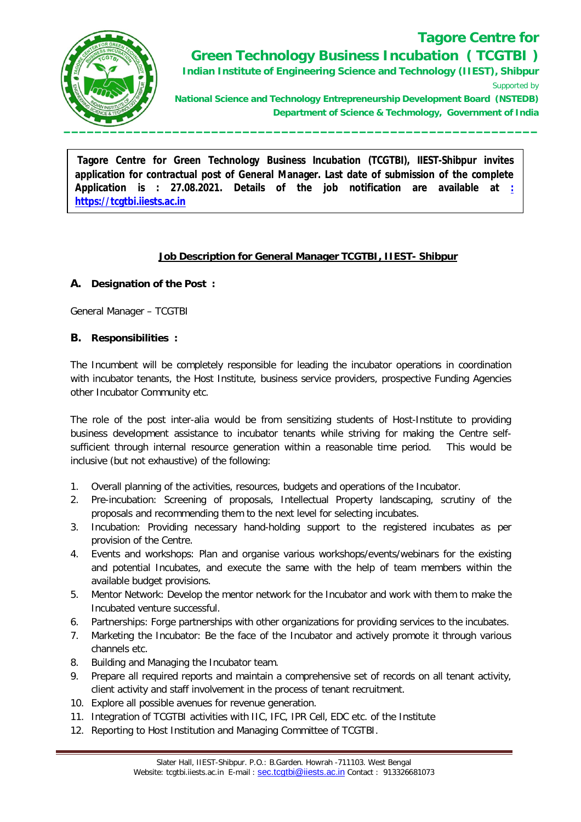

## **Tagore Centre for Green Technology Business Incubation ( TCGTBI )**

**Indian Institute of Engineering Science and Technology (IIEST), Shibpur** Supported by

**National Science and Technology Entrepreneurship Development Board (NSTEDB) Department of Science & Techmology, Government of India**

 **Secretary -**  $\overline{\mathbf{S}}$  -  $\overline{\mathbf{S}}$  -  $\overline{\mathbf{S}}$  -  $\overline{\mathbf{S}}$  -  $\overline{\mathbf{S}}$  -  $\overline{\mathbf{S}}$  -  $\overline{\mathbf{S}}$  -  $\overline{\mathbf{S}}$  -  $\overline{\mathbf{S}}$  -  $\overline{\mathbf{S}}$  -  $\overline{\mathbf{S}}$  -  $\overline{\mathbf{S}}$  -  $\overline{\mathbf{S}}$  -  $\overline{\mathbf{S}}$  -  $\overline{\mathbf{S}}$ 

**Tagore Centre for Green Technology Business Incubation (TCGTBI), IIEST-Shibpur invites application for contractual post of General Manager. Last date of submission of the complete Application is : 27.08.2021. Details of the job notification are available at : https://tcgtbi.iiests.ac.in**

#### **Job Description for General Manager TCGTBI, IIEST- Shibpur**

#### **A. Designation of the Post :**

General Manager – TCGTBI

#### **B. Responsibilities :**

The Incumbent will be completely responsible for leading the incubator operations in coordination with incubator tenants, the Host Institute, business service providers, prospective Funding Agencies other Incubator Community etc.

The role of the post inter-alia would be from sensitizing students of Host-Institute to providing business development assistance to incubator tenants while striving for making the Centre selfsufficient through internal resource generation within a reasonable time period. This would be inclusive (but not exhaustive) of the following:

- 1. Overall planning of the activities, resources, budgets and operations of the Incubator.
- 2. Pre-incubation: Screening of proposals, Intellectual Property landscaping, scrutiny of the proposals and recommending them to the next level for selecting incubates.
- 3. Incubation: Providing necessary hand-holding support to the registered incubates as per provision of the Centre.
- 4. Events and workshops: Plan and organise various workshops/events/webinars for the existing and potential Incubates, and execute the same with the help of team members within the available budget provisions.
- 5. Mentor Network: Develop the mentor network for the Incubator and work with them to make the Incubated venture successful.
- 6. Partnerships: Forge partnerships with other organizations for providing services to the incubates.
- 7. Marketing the Incubator: Be the face of the Incubator and actively promote it through various channels etc.
- 8. Building and Managing the Incubator team.
- 9. Prepare all required reports and maintain a comprehensive set of records on all tenant activity, client activity and staff involvement in the process of tenant recruitment.
- 10. Explore all possible avenues for revenue generation.
- 11. Integration of TCGTBI activities with IIC, IFC, IPR Cell, EDC etc. of the Institute
- 12. Reporting to Host Institution and Managing Committee of TCGTBI.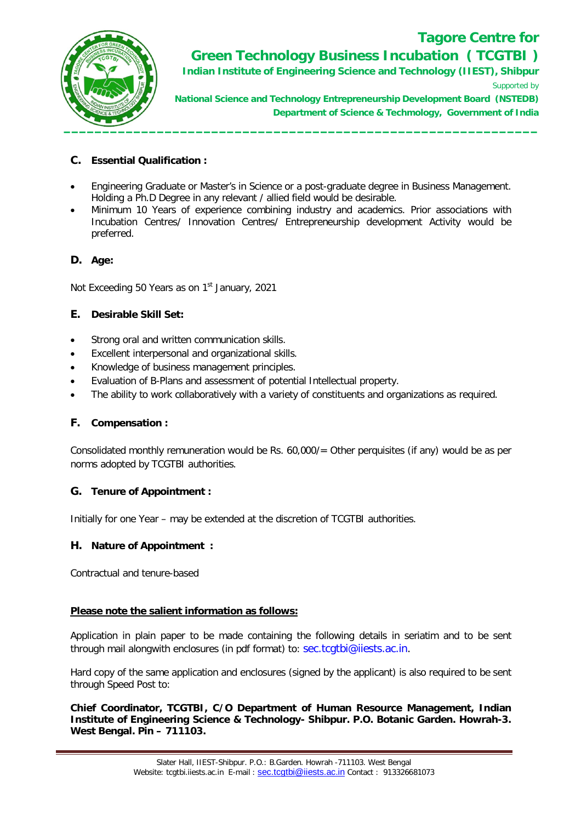

## **Tagore Centre for Green Technology Business Incubation ( TCGTBI )**

**Indian Institute of Engineering Science and Technology (IIEST), Shibpur** Supported by

**National Science and Technology Entrepreneurship Development Board (NSTEDB) Department of Science & Techmology, Government of India**

#### **C. Essential Qualification :**

- Engineering Graduate or Master's in Science or a post-graduate degree in Business Management. Holding a Ph.D Degree in any relevant / allied field would be desirable.
- Minimum 10 Years of experience combining industry and academics. Prior associations with Incubation Centres/ Innovation Centres/ Entrepreneurship development Activity would be preferred.

#### **D. Age:**

Not Exceeding 50 Years as on 1<sup>st</sup> January, 2021

#### **E. Desirable Skill Set:**

- Strong oral and written communication skills.
- Excellent interpersonal and organizational skills.
- Knowledge of business management principles.
- Evaluation of B-Plans and assessment of potential Intellectual property.
- The ability to work collaboratively with a variety of constituents and organizations as required.

#### **F. Compensation :**

Consolidated monthly remuneration would be Rs. 60,000/= Other perquisites (if any) would be as per norms adopted by TCGTBI authorities.

#### **G. Tenure of Appointment :**

Initially for one Year – may be extended at the discretion of TCGTBI authorities.

#### **H. Nature of Appointment :**

Contractual and tenure-based

#### **Please note the salient information as follows:**

Application in plain paper to be made containing the following details in seriatim and to be sent through mail alongwith enclosures (in pdf format) to: sec.tcgtbi@iiests.ac.in.

Hard copy of the same application and enclosures (signed by the applicant) is also required to be sent through Speed Post to:

**Chief Coordinator, TCGTBI, C/O Department of Human Resource Management, Indian Institute of Engineering Science & Technology- Shibpur. P.O. Botanic Garden. Howrah-3. West Bengal. Pin – 711103.**